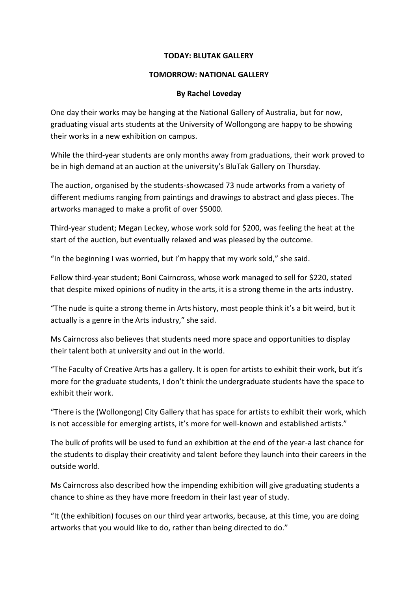## **TODAY: BLUTAK GALLERY**

## **TOMORROW: NATIONAL GALLERY**

## **By Rachel Loveday**

One day their works may be hanging at the National Gallery of Australia, but for now, graduating visual arts students at the University of Wollongong are happy to be showing their works in a new exhibition on campus.

While the third-year students are only months away from graduations, their work proved to be in high demand at an auction at the university's BluTak Gallery on Thursday.

The auction, organised by the students-showcased 73 nude artworks from a variety of different mediums ranging from paintings and drawings to abstract and glass pieces. The artworks managed to make a profit of over \$5000.

Third-year student; Megan Leckey, whose work sold for \$200, was feeling the heat at the start of the auction, but eventually relaxed and was pleased by the outcome.

"In the beginning I was worried, but I'm happy that my work sold," she said.

Fellow third-year student; Boni Cairncross, whose work managed to sell for \$220, stated that despite mixed opinions of nudity in the arts, it is a strong theme in the arts industry.

"The nude is quite a strong theme in Arts history, most people think it's a bit weird, but it actually is a genre in the Arts industry," she said.

Ms Cairncross also believes that students need more space and opportunities to display their talent both at university and out in the world.

"The Faculty of Creative Arts has a gallery. It is open for artists to exhibit their work, but it's more for the graduate students, I don't think the undergraduate students have the space to exhibit their work.

"There is the (Wollongong) City Gallery that has space for artists to exhibit their work, which is not accessible for emerging artists, it's more for well-known and established artists."

The bulk of profits will be used to fund an exhibition at the end of the year-a last chance for the students to display their creativity and talent before they launch into their careers in the outside world.

Ms Cairncross also described how the impending exhibition will give graduating students a chance to shine as they have more freedom in their last year of study.

"It (the exhibition) focuses on our third year artworks, because, at this time, you are doing artworks that you would like to do, rather than being directed to do."